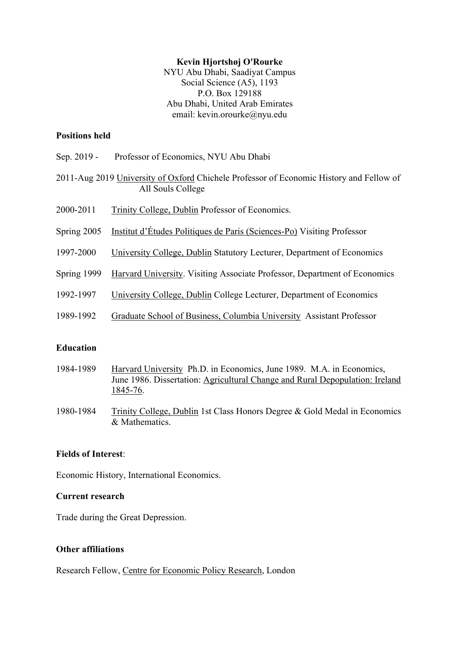#### **Kevin Hjortshøj O'Rourke**

NYU Abu Dhabi, Saadiyat Campus Social Science (A5), 1193 P.O. Box 129188 Abu Dhabi, United Arab Emirates email: [kevin.orourke@nyu.edu](mailto:kevin.orourke@nyu.edu)

#### **Positions held**

- Sep. 2019 -Professor of Economics, NYU Abu Dhabi
- 2011-Aug 2019 University of Oxford Chichele Professor of Economic History and Fellow of All Souls College
- 2000-2011 Trinity College, Dublin Professor of Economics.
- Spring 2005 Institut d'Études Politiques de Paris (Sciences-Po) Visiting Professor
- 1997-2000 University College, Dublin Statutory Lecturer, Department of Economics
- Spring 1999 Harvard University. Visiting Associate Professor, Department of Economics
- 1992-1997 University College, Dublin College Lecturer, Department of Economics
- 1989-1992 Graduate School of Business, Columbia University Assistant Professor

#### **Education**

- 1984-1989 Harvard University Ph.D. in Economics, June 1989. M.A. in Economics, June 1986. Dissertation: Agricultural Change and Rural Depopulation: Ireland 1845-76.
- 1980-1984 Trinity College, Dublin 1st Class Honors Degree & Gold Medal in Economics & Mathematics.

# **Fields of Interest**:

Economic History, International Economics.

#### **Current research**

Trade during the Great Depression.

#### **Other affiliations**

Research Fellow, Centre for Economic Policy Research, London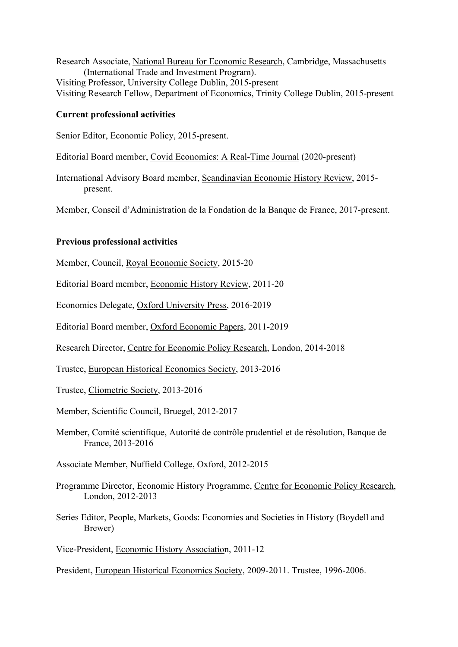Research Associate, National Bureau for Economic Research, Cambridge, Massachusetts (International Trade and Investment Program). Visiting Professor, University College Dublin, 2015-present Visiting Research Fellow, Department of Economics, Trinity College Dublin, 2015-present

#### **Current professional activities**

Senior Editor, Economic Policy, 2015-present.

Editorial Board member, Covid Economics: A Real-Time Journal (2020-present)

International Advisory Board member, Scandinavian Economic History Review, 2015 present.

Member, Conseil d'Administration de la Fondation de la Banque de France, 2017-present.

#### **Previous professional activities**

Member, Council, Royal Economic Society, 2015-20

Editorial Board member, Economic History Review, 2011-20

Economics Delegate, Oxford University Press, 2016-2019

Editorial Board member, Oxford Economic Papers, 2011-2019

Research Director, Centre for Economic Policy Research, London, 2014-2018

Trustee, European Historical Economics Society, 2013-2016

Trustee, Cliometric Society, 2013-2016

Member, Scientific Council, Bruegel, 2012-2017

Member, Comité scientifique, Autorité de contrôle prudentiel et de résolution, Banque de France, 2013-2016

Associate Member, Nuffield College, Oxford, 2012-2015

- London, 2012-2013 Programme Director, Economic History Programme, Centre for Economic Policy Research,
- Series Editor, People, Markets, Goods: Economies and Societies in History (Boydell and Brewer)

Vice-President, Economic History Association, 2011-12

President, European Historical Economics Society, 2009-2011. Trustee, 1996-2006.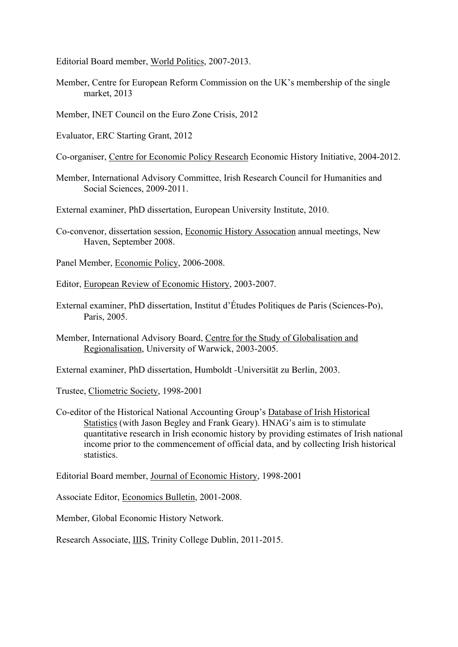Editorial Board member, World Politics, 2007-2013.

- Member, Centre for European Reform Commission on the UK's membership of the single market, 2013
- Member, INET Council on the Euro Zone Crisis, 2012
- Evaluator, ERC Starting Grant, 2012
- Co-organiser, Centre for Economic Policy Research Economic History Initiative, 2004-2012.
- Member, International Advisory Committee, Irish Research Council for Humanities and Social Sciences, 2009-2011.
- External examiner, PhD dissertation, European University Institute, 2010.
- Co-convenor, dissertation session, Economic History Assocation annual meetings, New Haven, September 2008.
- Panel Member, Economic Policy, 2006-2008.
- Editor, European Review of Economic History, 2003-2007.
- External examiner, PhD dissertation, Institut d'Études Politiques de Paris (Sciences-Po), Paris, 2005.
- Member, International Advisory Board, Centre for the Study of Globalisation and Regionalisation, University of Warwick, 2003-2005.
- External examiner, PhD dissertation, Humboldt -Universität zu Berlin, 2003.

Trustee, Cliometric Society, 1998-2001

Co-editor of the Historical National Accounting Group's Database of Irish Historical Statistics (with Jason Begley and Frank Geary). HNAG's aim is to stimulate quantitative research in Irish economic history by providing estimates of Irish national income prior to the commencement of official data, and by collecting Irish historical statistics.

Editorial Board member, Journal of Economic History, 1998-2001

Associate Editor, Economics Bulletin, 2001-2008.

Member, Global Economic History Network.

Research Associate, IIIS, Trinity College Dublin, 2011-2015.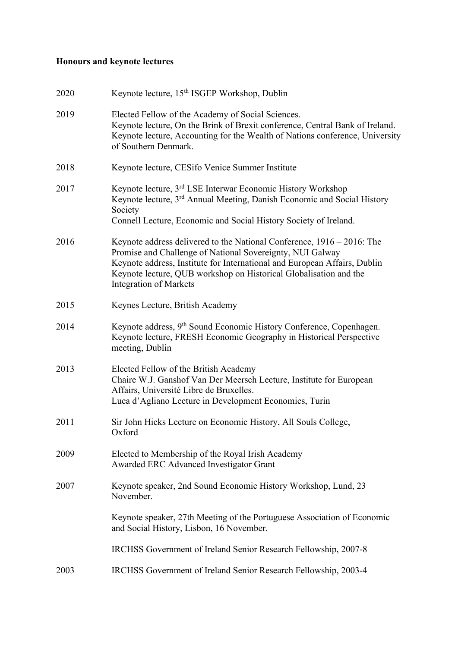# **Honours and keynote lectures**

| 2020 | Keynote lecture, 15th ISGEP Workshop, Dublin                                                                                                                                                                                                                                                                              |
|------|---------------------------------------------------------------------------------------------------------------------------------------------------------------------------------------------------------------------------------------------------------------------------------------------------------------------------|
| 2019 | Elected Fellow of the Academy of Social Sciences.<br>Keynote lecture, On the Brink of Brexit conference, Central Bank of Ireland.<br>Keynote lecture, Accounting for the Wealth of Nations conference, University<br>of Southern Denmark.                                                                                 |
| 2018 | Keynote lecture, CESifo Venice Summer Institute                                                                                                                                                                                                                                                                           |
| 2017 | Keynote lecture, 3 <sup>rd</sup> LSE Interwar Economic History Workshop<br>Keynote lecture, 3 <sup>rd</sup> Annual Meeting, Danish Economic and Social History<br>Society<br>Connell Lecture, Economic and Social History Society of Ireland.                                                                             |
| 2016 | Keynote address delivered to the National Conference, $1916 - 2016$ : The<br>Promise and Challenge of National Sovereignty, NUI Galway<br>Keynote address, Institute for International and European Affairs, Dublin<br>Keynote lecture, QUB workshop on Historical Globalisation and the<br><b>Integration of Markets</b> |
| 2015 | Keynes Lecture, British Academy                                                                                                                                                                                                                                                                                           |
| 2014 | Keynote address, 9 <sup>th</sup> Sound Economic History Conference, Copenhagen.<br>Keynote lecture, FRESH Economic Geography in Historical Perspective<br>meeting, Dublin                                                                                                                                                 |
| 2013 | Elected Fellow of the British Academy<br>Chaire W.J. Ganshof Van Der Meersch Lecture, Institute for European<br>Affairs, Université Libre de Bruxelles.<br>Luca d'Agliano Lecture in Development Economics, Turin                                                                                                         |
| 2011 | Sir John Hicks Lecture on Economic History, All Souls College,<br>Oxford                                                                                                                                                                                                                                                  |
| 2009 | Elected to Membership of the Royal Irish Academy<br>Awarded ERC Advanced Investigator Grant                                                                                                                                                                                                                               |
| 2007 | Keynote speaker, 2nd Sound Economic History Workshop, Lund, 23<br>November.                                                                                                                                                                                                                                               |
|      | Keynote speaker, 27th Meeting of the Portuguese Association of Economic<br>and Social History, Lisbon, 16 November.                                                                                                                                                                                                       |
|      | IRCHSS Government of Ireland Senior Research Fellowship, 2007-8                                                                                                                                                                                                                                                           |
| 2003 | IRCHSS Government of Ireland Senior Research Fellowship, 2003-4                                                                                                                                                                                                                                                           |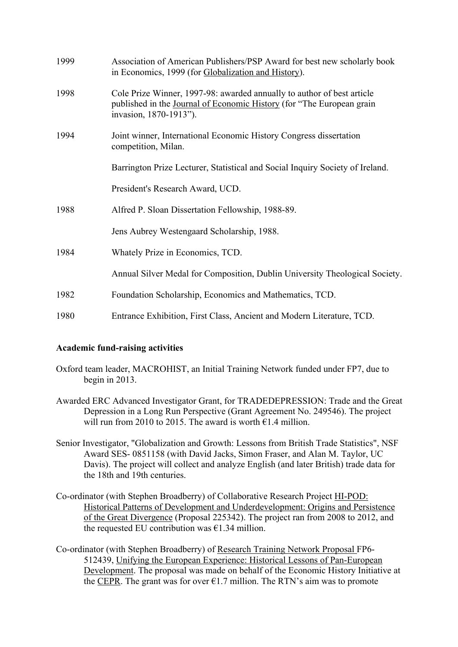| 1999 | Association of American Publishers/PSP Award for best new scholarly book<br>in Economics, 1999 (for Globalization and History).                                           |
|------|---------------------------------------------------------------------------------------------------------------------------------------------------------------------------|
| 1998 | Cole Prize Winner, 1997-98: awarded annually to author of best article<br>published in the Journal of Economic History (for "The European grain<br>invasion, 1870-1913"). |
| 1994 | Joint winner, International Economic History Congress dissertation<br>competition, Milan.                                                                                 |
|      | Barrington Prize Lecturer, Statistical and Social Inquiry Society of Ireland.                                                                                             |
|      | President's Research Award, UCD.                                                                                                                                          |
| 1988 | Alfred P. Sloan Dissertation Fellowship, 1988-89.                                                                                                                         |
|      | Jens Aubrey Westengaard Scholarship, 1988.                                                                                                                                |
| 1984 | Whately Prize in Economics, TCD.                                                                                                                                          |
|      | Annual Silver Medal for Composition, Dublin University Theological Society.                                                                                               |
| 1982 | Foundation Scholarship, Economics and Mathematics, TCD.                                                                                                                   |
| 1980 | Entrance Exhibition, First Class, Ancient and Modern Literature, TCD.                                                                                                     |

# **Academic fund-raising activities**

- Oxford team leader, MACROHIST, an Initial Training Network funded under FP7, due to begin in 2013.
- Awarded ERC Advanced Investigator Grant, for TRADEDEPRESSION: Trade and the Great Depression in a Long Run Perspective (Grant Agreement No. 249546). The project will run from 2010 to 2015. The award is worth  $\epsilon$ 1.4 million.
- Senior Investigator, "Globalization and Growth: Lessons from British Trade Statistics", NSF Award SES- 0851158 (with David Jacks, Simon Fraser, and Alan M. Taylor, UC Davis). The project will collect and analyze English (and later British) trade data for the 18th and 19th centuries.
- Co-ordinator (with Stephen Broadberry) of Collaborative Research Project **HI-POD**: of the Great Divergence (Proposal 225342). The project ran from 2008 to 2012, and Historical Patterns of Development and Underdevelopment: Origins and Persistence the requested EU contribution was  $\epsilon$ 1.34 million.
- Co-ordinator (with Stephen Broadberry) of Research Training Network Proposal FP6- 512439, Unifying the European Experience: Historical Lessons of Pan-European Development. The proposal was made on behalf of the Economic History Initiative at the CEPR. The grant was for over  $\epsilon$ 1.7 million. The RTN's aim was to promote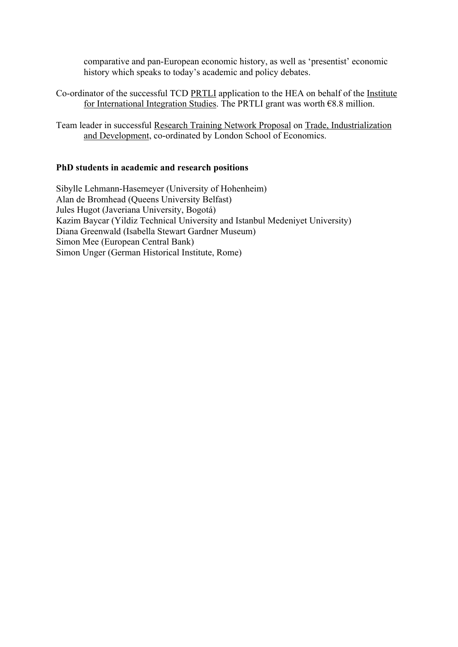comparative and pan-European economic history, as well as 'presentist' economic history which speaks to today's academic and policy debates.

- Co-ordinator of the successful TCD PRTLI application to the HEA on behalf of the Institute for International Integration Studies. The PRTLI grant was worth €8.8 million.
- Team leader in successful Research Training Network Proposal on Trade, Industrialization and Development, co-ordinated by London School of Economics.

#### **PhD students in academic and research positions**

Sibylle Lehmann-Hasemeyer (University of Hohenheim) Alan de Bromhead (Queens University Belfast) Jules Hugot (Javeriana University, Bogotá) Kazim Baycar (Yildiz Technical University and Istanbul Medeniyet University) Diana Greenwald (Isabella Stewart Gardner Museum) Simon Mee (European Central Bank) Simon Unger (German Historical Institute, Rome)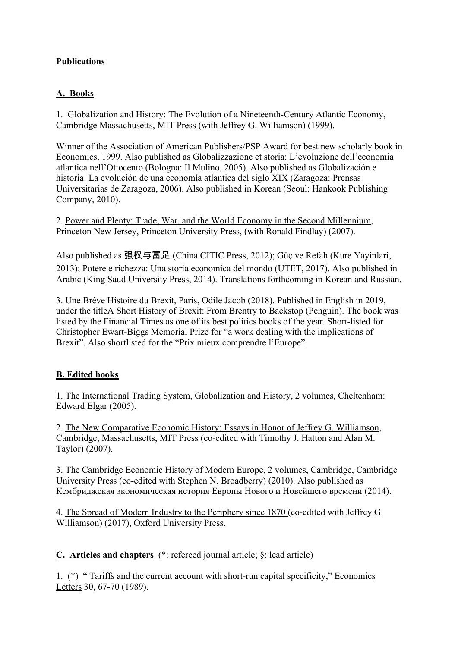# **Publications A. Books**

 Cambridge Massachusetts, MIT Press (with Jeffrey G. Williamson) (1999). 1. Globalization and History: The Evolution of a Nineteenth-Century Atlantic Economy,

atlantica nell'Ottocento (Bologna: Il Mulino, 2005). Also published as Globalización e Winner of the Association of American Publishers/PSP Award for best new scholarly book in Economics, 1999. Also published as Globalizzazione et storia: L'evoluzione dell'economia historia: La evolución de una economía atlantica del siglo XIX (Zaragoza: Prensas Universitarias de Zaragoza, 2006). Also published in Korean (Seoul: Hankook Publishing Company, 2010).

 Princeton New Jersey, Princeton University Press, (with Ronald Findlay) (2007). 2. Power and Plenty: Trade, War, and the World Economy in the Second Millennium,

Also published as 强权与富足 (China CITIC Press, 2012); Güç ve Refah (Kure Yayinlari, 2013); Potere e richezza: Una storia economica del mondo (UTET, 2017). Also published in Arabic (King Saud University Press, 2014). Translations forthcoming in Korean and Russian.

 3. Une Brève Histoire du Brexit, Paris, Odile Jacob (2018). Published in English in 2019, under the titleA Short History of Brexit: From Brentry to Backstop (Penguin). The book was listed by the Financial Times as one of its best politics books of the year. Short-listed for Christopher Ewart-Biggs Memorial Prize for "a work dealing with the implications of Brexit". Also shortlisted for the "Prix mieux comprendre l'Europe".

# **B. Edited books**

 Edward Elgar (2005). 1. The International Trading System, Globalization and History, 2 volumes, Cheltenham:

 Taylor) (2007). 2. The New Comparative Economic History: Essays in Honor of Jeffrey G. Williamson, Cambridge, Massachusetts, MIT Press (co-edited with Timothy J. Hatton and Alan M.

 University Press (co-edited with Stephen N. Broadberry) (2010). Also published as Кембриджская экономическая история Европы Нового и Новейшего времени (2014). 3. The Cambridge Economic History of Modern Europe, 2 volumes, Cambridge, Cambridge

4. The Spread of Modern Industry to the Periphery since 1870 (co-edited with Jeffrey G. Williamson) (2017), Oxford University Press.

**C. Articles and chapters** (\*: refereed journal article; §: lead article)

 1. (\*) " Tariffs and the current account with short-run capital specificity," Economics Letters 30, 67-70 (1989).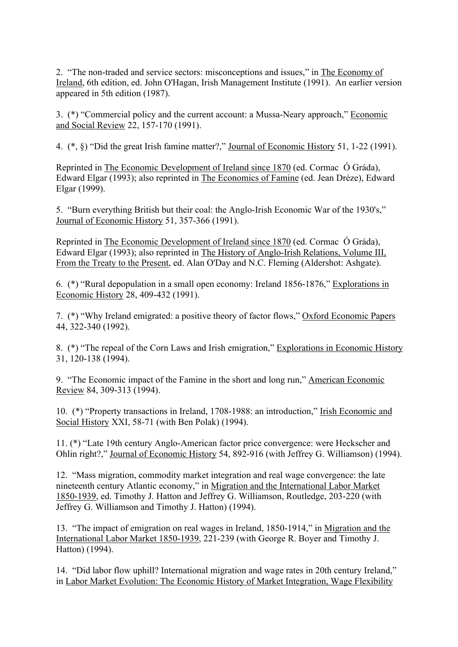appeared in 5th edition (1987). 2. "The non-traded and service sectors: misconceptions and issues," in The Economy of Ireland, 6th edition, ed. John O'Hagan, Irish Management Institute (1991). An earlier version

3. (\*) "Commercial policy and the current account: a Mussa-Neary approach," Economic and Social Review 22, 157-170 (1991).

4. (\*, §) "Did the great Irish famine matter?," <u>Journal of Economic History</u> 51, 1-22 (1991).

Reprinted in The Economic Development of Ireland since 1870 (ed. Cormac Ó Gráda), Edward Elgar (1993); also reprinted in The Economics of Famine (ed. Jean Drèze), Edward Elgar (1999).

 Journal of Economic History 51, 357-366 (1991). 5. "Burn everything British but their coal: the Anglo-Irish Economic War of the 1930's,"

Reprinted in The Economic Development of Ireland since 1870 (ed. Cormac Ó Gráda), Edward Elgar (1993); also reprinted in The History of Anglo-Irish Relations, Volume III, From the Treaty to the Present, ed. Alan O'Day and N.C. Fleming (Aldershot: Ashgate).

Economic History 28, 409-432 (1991). 6. (\*) "Rural depopulation in a small open economy: Ireland 1856-1876," Explorations in

 44, 322-340 (1992). 7. (\*) "Why Ireland emigrated: a positive theory of factor flows," Oxford Economic Papers

 31, 120-138 (1994). 8. (\*) "The repeal of the Corn Laws and Irish emigration," Explorations in Economic History

Review 84, 309-313 (1994). 9. "The Economic impact of the Famine in the short and long run," American Economic

Social History XXI, 58-71 (with Ben Polak) (1994). 10. (\*) "Property transactions in Ireland, 1708-1988: an introduction," Irish Economic and

Ohlin right?," Journal of Economic History 54, 892-916 (with Jeffrey G. Williamson) (1994). 11. (\*) "Late 19th century Anglo-American factor price convergence: were Heckscher and

 Jeffrey G. Williamson and Timothy J. Hatton) (1994). 12. "Mass migration, commodity market integration and real wage convergence: the late nineteenth century Atlantic economy," in Migration and the International Labor Market 1850-1939, ed. Timothy J. Hatton and Jeffrey G. Williamson, Routledge, 203-220 (with

 Hatton) (1994). 13. "The impact of emigration on real wages in Ireland, 1850-1914," in Migration and the International Labor Market 1850-1939, 221-239 (with George R. Boyer and Timothy J.

14. "Did labor flow uphill? International migration and wage rates in 20th century Ireland," in Labor Market Evolution: The Economic History of Market Integration, Wage Flexibility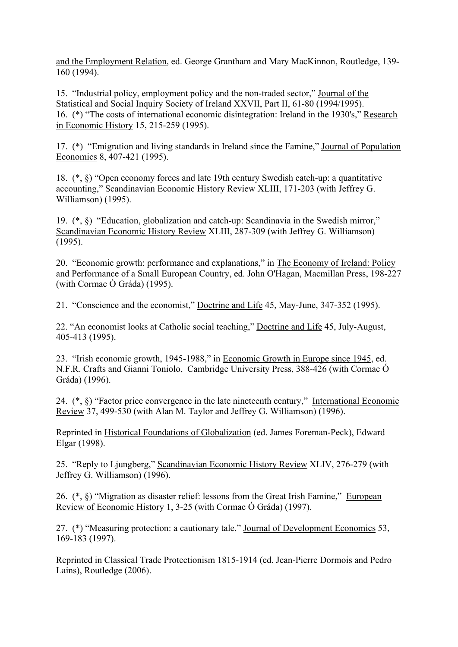160 (1994). and the Employment Relation, ed. George Grantham and Mary MacKinnon, Routledge, 139-

 in Economic History 15, 215-259 (1995). 15. "Industrial policy, employment policy and the non-traded sector," Journal of the Statistical and Social Inquiry Society of Ireland XXVII, Part II, 61-80 (1994/1995). 16. (\*) "The costs of international economic disintegration: Ireland in the 1930's," Research

Economics 8, 407-421 (1995). 17. (\*) "Emigration and living standards in Ireland since the Famine," Journal of Population

 Williamson) (1995). 18. (\*, §) "Open economy forces and late 19th century Swedish catch-up: a quantitative accounting," Scandinavian Economic History Review XLIII, 171-203 (with Jeffrey G.

19. (\*, §) "Education, globalization and catch-up: Scandinavia in the Swedish mirror," Scandinavian Economic History Review XLIII, 287-309 (with Jeffrey G. Williamson) (1995).

 (with Cormac Ó Gráda) (1995). 20. "Economic growth: performance and explanations," in The Economy of Ireland: Policy and Performance of a Small European Country, ed. John O'Hagan, Macmillan Press, 198-227

21. "Conscience and the economist," Doctrine and Life 45, May-June, 347-352 (1995).

22. "An economist looks at Catholic social teaching," Doctrine and Life 45, July-August, 405-413 (1995).

 Gráda) (1996). 23. "Irish economic growth, 1945-1988," in Economic Growth in Europe since 1945, ed. N.F.R. Crafts and Gianni Toniolo, Cambridge University Press, 388-426 (with Cormac Ó

24. (\*, §) "Factor price convergence in the late nineteenth century," International Economic Review 37, 499-530 (with Alan M. Taylor and Jeffrey G. Williamson) (1996).

Reprinted in Historical Foundations of Globalization (ed. James Foreman-Peck), Edward Elgar (1998).

 Jeffrey G. Williamson) (1996). 25. "Reply to Ljungberg," Scandinavian Economic History Review XLIV, 276-279 (with

26. (\*, §) "Migration as disaster relief: lessons from the Great Irish Famine," European Review of Economic History 1, 3-25 (with Cormac Ó Gráda) (1997).

 169-183 (1997). 27. (\*) "Measuring protection: a cautionary tale," Journal of Development Economics 53,

Reprinted in Classical Trade Protectionism 1815-1914 (ed. Jean-Pierre Dormois and Pedro Lains), Routledge (2006).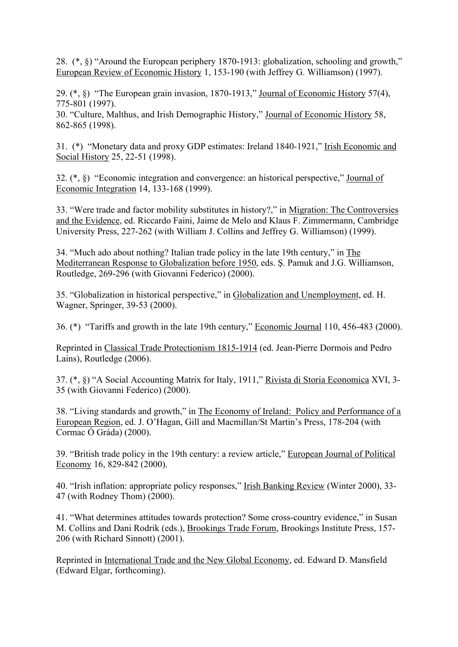European Review of Economic History 1, 153-190 (with Jeffrey G. Williamson) (1997). 28. (\*, §) "Around the European periphery 1870-1913: globalization, schooling and growth,"

 775-801 (1997). 29. (\*, §) "The European grain invasion, 1870-1913," Journal of Economic History 57(4),

 862-865 (1998). 30. "Culture, Malthus, and Irish Demographic History," Journal of Economic History 58,

Social History 25, 22-51 (1998). 31. (\*) "Monetary data and proxy GDP estimates: Ireland 1840-1921," Irish Economic and

Economic Integration 14, 133-168 (1999). 32. (\*, §) "Economic integration and convergence: an historical perspective," Journal of

 University Press, 227-262 (with William J. Collins and Jeffrey G. Williamson) (1999). 33. "Were trade and factor mobility substitutes in history?," in Migration: The Controversies and the Evidence, ed. Riccardo Faini, Jaime de Melo and Klaus F. Zimmermann, Cambridge

 Routledge, 269-296 (with Giovanni Federico) (2000). 34. "Much ado about nothing? Italian trade policy in the late 19th century," in The Mediterranean Response to Globalization before 1950, eds. Ş. Pamuk and J.G. Williamson,

 Wagner, Springer, 39-53 (2000). 35. "Globalization in historical perspective," in Globalization and Unemployment, ed. H.

36. (\*) "Tariffs and growth in the late 19th century," **Economic Journal 110, 456-483 (2000)**.

Reprinted in Classical Trade Protectionism 1815-1914 (ed. Jean-Pierre Dormois and Pedro Lains), Routledge (2006).

 35 (with Giovanni Federico) (2000). 37. (\*, §) "A Social Accounting Matrix for Italy, 1911," Rivista di Storia Economica XVI, 3-

 Cormac Ó Gráda) (2000). 38. "Living standards and growth," in The Economy of Ireland: Policy and Performance of a European Region, ed. J. O'Hagan, Gill and Macmillan/St Martin's Press, 178-204 (with

Economy 16, 829-842 (2000). 39. "British trade policy in the 19th century: a review article," European Journal of Political

 47 (with Rodney Thom) (2000). 40. "Irish inflation: appropriate policy responses," Irish Banking Review (Winter 2000), 33-

 206 (with Richard Sinnott) (2001). 41. "What determines attitudes towards protection? Some cross-country evidence," in Susan M. Collins and Dani Rodrik (eds.), Brookings Trade Forum, Brookings Institute Press, 157-

Reprinted in International Trade and the New Global Economy, ed. Edward D. Mansfield (Edward Elgar, forthcoming).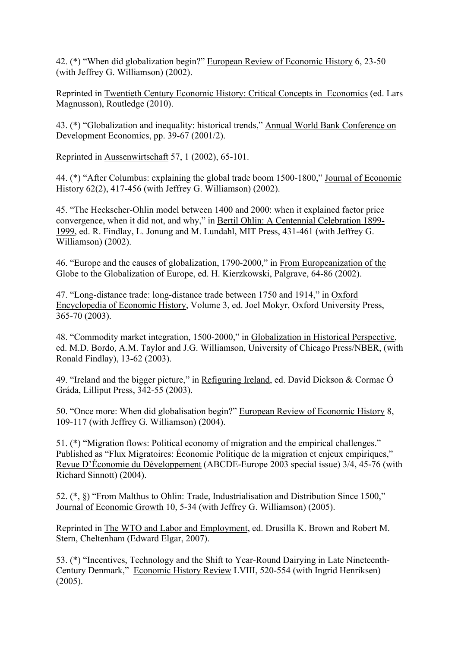(with Jeffrey G. Williamson) (2002). 42. (\*) "When did globalization begin?" European Review of Economic History 6, 23-50

Reprinted in Twentieth Century Economic History: Critical Concepts in Economics (ed. Lars Magnusson), Routledge (2010).

Development Economics, pp. 39-67 (2001/2). 43. (\*) "Globalization and inequality: historical trends," Annual World Bank Conference on

Reprinted in Aussenwirtschaft 57, 1 (2002), 65-101.

History 62(2), 417-456 (with Jeffrey G. Williamson) (2002). 44. (\*) "After Columbus: explaining the global trade boom 1500-1800," Journal of Economic

 Williamson) (2002). 45. "The Heckscher-Ohlin model between 1400 and 2000: when it explained factor price convergence, when it did not, and why," in Bertil Ohlin: A Centennial Celebration 1899- 1999, ed. R. Findlay, L. Jonung and M. Lundahl, MIT Press, 431-461 (with Jeffrey G.

Globe to the Globalization of Europe, ed. H. Kierzkowski, Palgrave, 64-86 (2002). 46. "Europe and the causes of globalization, 1790-2000," in From Europeanization of the

 365-70 (2003). 47. "Long-distance trade: long-distance trade between 1750 and 1914," in Oxford Encyclopedia of Economic History, Volume 3, ed. Joel Mokyr, Oxford University Press,

 Ronald Findlay), 13-62 (2003). 48. "Commodity market integration, 1500-2000," in Globalization in Historical Perspective, ed. M.D. Bordo, A.M. Taylor and J.G. Williamson, University of Chicago Press/NBER, (with

 Gráda, Lilliput Press, 342-55 (2003). 49. "Ireland and the bigger picture," in Refiguring Ireland, ed. David Dickson & Cormac Ó

 109-117 (with Jeffrey G. Williamson) (2004). 50. "Once more: When did globalisation begin?" European Review of Economic History 8,

 Richard Sinnott) (2004). 51. (\*) "Migration flows: Political economy of migration and the empirical challenges." Published as "Flux Migratoires: Économie Politique de la migration et enjeux empiriques," Revue D'Économie du Développement (ABCDE-Europe 2003 special issue) 3/4, 45-76 (with

Journal of Economic Growth 10, 5-34 (with Jeffrey G. Williamson) (2005). 52. (\*, §) "From Malthus to Ohlin: Trade, Industrialisation and Distribution Since 1500,"

Reprinted in The WTO and Labor and Employment, ed. Drusilla K. Brown and Robert M. Stern, Cheltenham (Edward Elgar, 2007).

Century Denmark," Economic History Review LVIII, 520-554 (with Ingrid Henriksen) 53. (\*) "Incentives, Technology and the Shift to Year-Round Dairying in Late Nineteenth-(2005).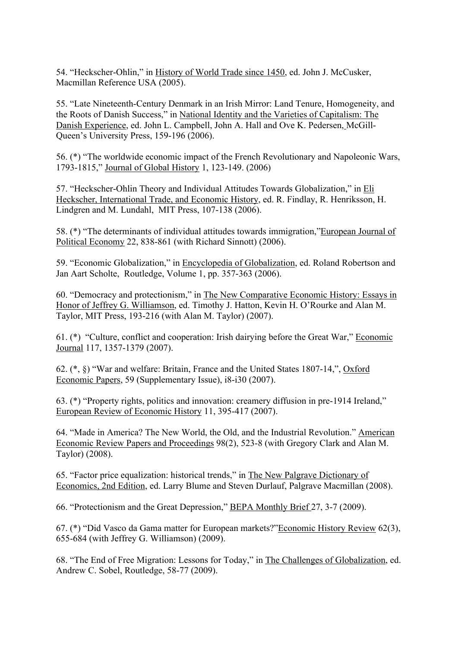Macmillan Reference USA (2005). 54. "Heckscher-Ohlin," in History of World Trade since 1450, ed. John J. McCusker,

 Queen's University Press, 159-196 (2006). 55. "Late Nineteenth-Century Denmark in an Irish Mirror: Land Tenure, Homogeneity, and the Roots of Danish Success," in National Identity and the Varieties of Capitalism: The Danish Experience, ed. John L. Campbell, John A. Hall and Ove K. Pedersen, McGill-

 1793-1815," Journal of Global History 1, 123-149. (2006) 56. (\*) "The worldwide economic impact of the French Revolutionary and Napoleonic Wars,

 Lindgren and M. Lundahl, MIT Press, 107-138 (2006). 57. "Heckscher-Ohlin Theory and Individual Attitudes Towards Globalization," in Eli Heckscher, International Trade, and Economic History, ed. R. Findlay, R. Henriksson, H.

Political Economy 22, 838-861 (with Richard Sinnott) (2006). 58. (\*) "The determinants of individual attitudes towards immigration,"European Journal of

 Jan Aart Scholte, Routledge, Volume 1, pp. 357-363 (2006). 59. "Economic Globalization," in Encyclopedia of Globalization, ed. Roland Robertson and

 Taylor, MIT Press, 193-216 (with Alan M. Taylor) (2007). 60. "Democracy and protectionism," in The New Comparative Economic History: Essays in Honor of Jeffrey G. Williamson, ed. Timothy J. Hatton, Kevin H. O'Rourke and Alan M.

61. (\*) "Culture, conflict and cooperation: Irish dairying before the Great War," Economic Journal 117, 1357-1379 (2007).

Economic Papers, 59 (Supplementary Issue), i8-i30 (2007). 62. (\*, §) "War and welfare: Britain, France and the United States 1807-14,", Oxford

European Review of Economic History 11, 395-417 (2007). 63. (\*) "Property rights, politics and innovation: creamery diffusion in pre-1914 Ireland,"

 Economic Review Papers and Proceedings 98(2), 523-8 (with Gregory Clark and Alan M. 64. "Made in America? The New World, the Old, and the Industrial Revolution." American Taylor) (2008).

 65. "Factor price equalization: historical trends," in The New Palgrave Dictionary of Economics, 2nd Edition, ed. Larry Blume and Steven Durlauf, Palgrave Macmillan (2008).

66. "Protectionism and the Great Depression," **BEPA Monthly Brief 27, 3-7 (2009)**.

67. (\*) "Did Vasco da Gama matter for European markets?"Economic History Review 62(3), 655-684 (with Jeffrey G. Williamson) (2009).

 Andrew C. Sobel, Routledge, 58-77 (2009). 68. "The End of Free Migration: Lessons for Today," in The Challenges of Globalization, ed.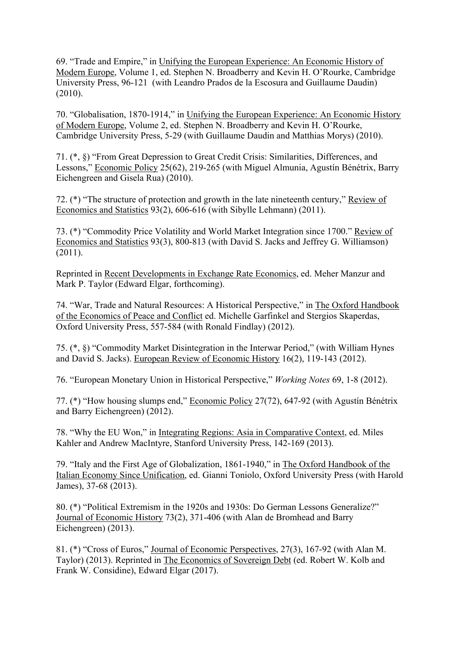69. "Trade and Empire," in Unifying the European Experience: An Economic History of Modern Europe, Volume 1, ed. Stephen N. Broadberry and Kevin H. O'Rourke, Cambridge University Press, 96-121 (with Leandro Prados de la Escosura and Guillaume Daudin) (2010).

 Cambridge University Press, 5-29 (with Guillaume Daudin and Matthias Morys) (2010). 70. "Globalisation, 1870-1914," in Unifying the European Experience: An Economic History of Modern Europe, Volume 2, ed. Stephen N. Broadberry and Kevin H. O'Rourke,

Lessons," Economic Policy 25(62), 219-265 (with Miguel Almunia, Agustín Bénétrix, Barry Eichengreen and Gisela Rua) (2010). 71. (\*, §) "From Great Depression to Great Credit Crisis: Similarities, Differences, and

Economics and Statistics 93(2), 606-616 (with Sibylle Lehmann) (2011). 72. (\*) "The structure of protection and growth in the late nineteenth century," Review of

 Economics and Statistics 93(3), 800-813 (with David S. Jacks and Jeffrey G. Williamson)  $(2011).$ 73. (\*) "Commodity Price Volatility and World Market Integration since 1700." Review of

Reprinted in Recent Developments in Exchange Rate Economics, ed. Meher Manzur and Mark P. Taylor (Edward Elgar, forthcoming).

 Oxford University Press, 557-584 (with Ronald Findlay) (2012). 74. "War, Trade and Natural Resources: A Historical Perspective," in The Oxford Handbook of the Economics of Peace and Conflict ed. Michelle Garfinkel and Stergios Skaperdas,

and David S. Jacks). European Review of Economic History 16(2), 119-143 (2012). 75. (\*, §) "Commodity Market Disintegration in the Interwar Period," (with William Hynes

76. "European Monetary Union in Historical Perspective," *Working Notes* 69, 1-8 (2012).

77. (\*) "How housing slumps end," Economic Policy 27(72), 647-92 (with Agustín Bénétrix and Barry Eichengreen) (2012).

 Kahler and Andrew MacIntyre, Stanford University Press, 142-169 (2013). 78. "Why the EU Won," in Integrating Regions: Asia in Comparative Context, ed. Miles

 James), 37-68 (2013). 79. "Italy and the First Age of Globalization, 1861-1940," in The Oxford Handbook of the Italian Economy Since Unification, ed. Gianni Toniolo, Oxford University Press (with Harold

Journal of Economic History 73(2), 371-406 (with Alan de Bromhead and Barry Eichengreen) (2013). 80. (\*) "Political Extremism in the 1920s and 1930s: Do German Lessons Generalize?"

81. (\*) "Cross of Euros," Journal of Economic Perspectives, 27(3), 167-92 (with Alan M. Taylor) (2013). Reprinted in The Economics of Sovereign Debt (ed. Robert W. Kolb and Frank W. Considine), Edward Elgar (2017).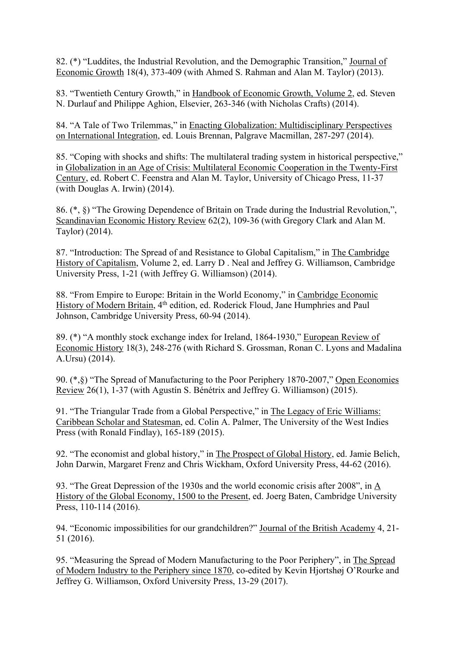Economic Growth 18(4), 373-409 (with Ahmed S. Rahman and Alan M. Taylor) (2013). 82. (\*) "Luddites, the Industrial Revolution, and the Demographic Transition," Journal of

 N. Durlauf and Philippe Aghion, Elsevier, 263-346 (with Nicholas Crafts) (2014). 83. "Twentieth Century Growth," in Handbook of Economic Growth, Volume 2, ed. Steven

 on International Integration, ed. Louis Brennan, Palgrave Macmillan, 287-297 (2014). 84. "A Tale of Two Trilemmas," in Enacting Globalization: Multidisciplinary Perspectives

 (with Douglas A. Irwin) (2014). 85. "Coping with shocks and shifts: The multilateral trading system in historical perspective," in Globalization in an Age of Crisis: Multilateral Economic Cooperation in the Twenty-First Century, ed. Robert C. Feenstra and Alan M. Taylor, University of Chicago Press, 11-37

86. (\*, §) "The Growing Dependence of Britain on Trade during the Industrial Revolution,", Scandinavian Economic History Review 62(2), 109-36 (with Gregory Clark and Alan M. Taylor) (2014).

 University Press, 1-21 (with Jeffrey G. Williamson) (2014). 87. "Introduction: The Spread of and Resistance to Global Capitalism," in The Cambridge History of Capitalism, Volume 2, ed. Larry D . Neal and Jeffrey G. Williamson, Cambridge

88. "From Empire to Europe: Britain in the World Economy," in Cambridge Economic History of Modern Britain, 4<sup>th</sup> edition, ed. Roderick Floud, Jane Humphries and Paul Johnson, Cambridge University Press, 60-94 (2014).

 A.Ursu) (2014). 89. (\*) "A monthly stock exchange index for Ireland, 1864-1930," European Review of Economic History 18(3), 248-276 (with Richard S. Grossman, Ronan C. Lyons and Madalina

Review 26(1), 1-37 (with Agustín S. Bénétrix and Jeffrey G. Williamson) (2015). 90. (\*,§) "The Spread of Manufacturing to the Poor Periphery 1870-2007," Open Economies

91. "The Triangular Trade from a Global Perspective," in The Legacy of Eric Williams: Caribbean Scholar and Statesman, ed. Colin A. Palmer, The University of the West Indies Press (with Ronald Findlay), 165-189 (2015).

92. "The economist and global history," in The Prospect of Global History, ed. Jamie Belich, John Darwin, Margaret Frenz and Chris Wickham, Oxford University Press, 44-62 (2016).

93. "The Great Depression of the 1930s and the world economic crisis after 2008", in A History of the Global Economy, 1500 to the Present, ed. Joerg Baten, Cambridge University Press, 110-114 (2016).

94. "Economic impossibilities for our grandchildren?" Journal of the British Academy 4, 21- 51 (2016).

95. "Measuring the Spread of Modern Manufacturing to the Poor Periphery", in The Spread of Modern Industry to the Periphery since 1870, co-edited by Kevin Hjortshøj O'Rourke and Jeffrey G. Williamson, Oxford University Press, 13-29 (2017).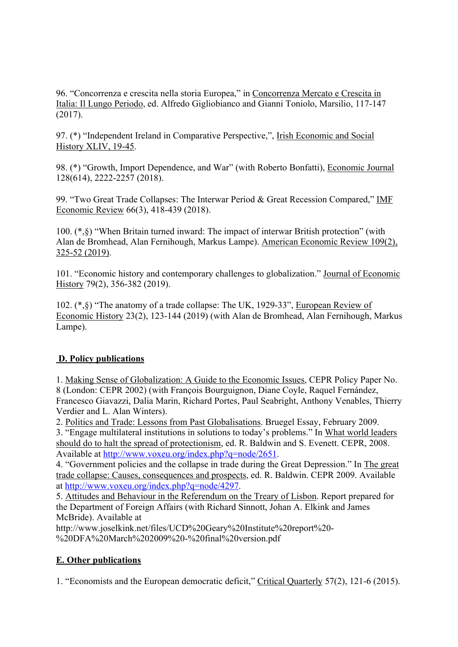96. "Concorrenza e crescita nella storia Europea," in Concorrenza Mercato e Crescita in Italia: Il Lungo Periodo, ed. Alfredo Gigliobianco and Gianni Toniolo, Marsilio, 117-147 (2017).

97. (\*) "Independent Ireland in Comparative Perspective,", Irish Economic and Social History XLIV, 19-45.

98. (\*) "Growth, Import Dependence, and War" (with Roberto Bonfatti), Economic Journal 128(614), 2222-2257 (2018).

99. "Two Great Trade Collapses: The Interwar Period & Great Recession Compared," IMF Economic Review 66(3), 418-439 (2018).

100. (\*,§) "When Britain turned inward: The impact of interwar British protection" (with Alan de Bromhead, Alan Fernihough, Markus Lampe). American Economic Review 109(2), 325-52 (2019).

101. "Economic history and contemporary challenges to globalization." Journal of Economic History 79(2), 356-382 (2019).

102. (\*,§) "The anatomy of a trade collapse: The UK, 1929-33", European Review of Economic History 23(2), 123-144 (2019) (with Alan de Bromhead, Alan Fernihough, Markus Lampe).

# **D. Policy publications**

Verdier and L. Alan Winters). 1. Making Sense of Globalization: A Guide to the Economic Issues, CEPR Policy Paper No. 8 (London: CEPR 2002) (with François Bourguignon, Diane Coyle, Raquel Fernández, Francesco Giavazzi, Dalia Marin, Richard Portes, Paul Seabright, Anthony Venables, Thierry

Verdier and L. Alan Winters).<br>2. <u>Politics and Trade: Lessons from Past Globalisations</u>. Bruegel Essay, February 2009.

3. "Engage multilateral institutions in solutions to today's problems." In What world leaders should do to halt the spread of protectionism, ed. R. Baldwin and S. Evenett. CEPR, 2008. Available at<http://www.voxeu.org/index.php?q=node/2651>.

4. "Government policies and the collapse in trade during the Great Depression." In The great trade collapse: Causes, consequences and prospects, ed. R. Baldwin. CEPR 2009. Available at <http://www.voxeu.org/index.php?q=node/4297>.

 the Department of Foreign Affairs (with Richard Sinnott, Johan A. Elkink and James 5. Attitudes and Behaviour in the Referendum on the Treary of Lisbon. Report prepared for McBride). Available at

<http://www.joselkink.net/files/UCD%20Geary%20Institute%20report%20>- %20DFA%20March%202009%20-%20final%20version.pdf

# **E. Other publications**

1. "Economists and the European democratic deficit," Critical Quarterly 57(2), 121-6 (2015).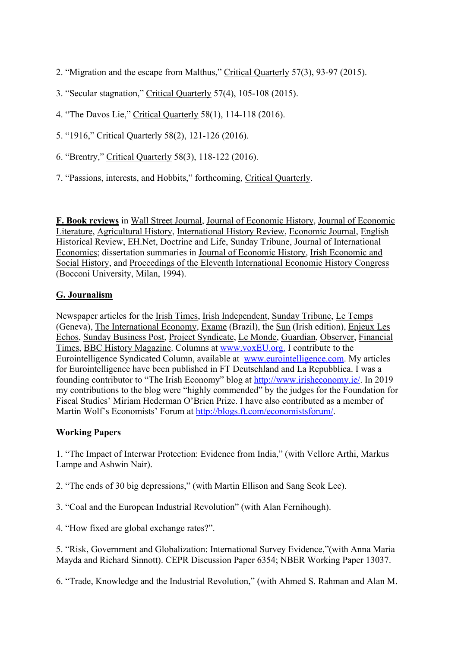- 2. "Migration and the escape from Malthus," Critical Quarterly 57(3), 93-97 (2015).
- 3. "Secular stagnation," Critical Quarterly 57(4), 105-108 (2015).
- 4. "The Davos Lie," Critical Quarterly 58(1), 114-118 (2016).
- 5. "1916," Critical Quarterly 58(2), 121-126 (2016).
- 6. "Brentry," Critical Quarterly 58(3), 118-122 (2016).
- 7. "Passions, interests, and Hobbits," forthcoming, Critical Quarterly.

**F. Book reviews** in Wall Street Journal, Journal of Economic History, Journal of Economic Literature, Agricultural History, International History Review, Economic Journal, English Historical Review, EH.Net, Doctrine and Life, Sunday Tribune, Journal of International Economics; dissertation summaries in Journal of Economic History, Irish Economic and Social History, and Proceedings of the Eleventh International Economic History Congress (Bocconi University, Milan, 1994).

# **G. Journalism**

(Geneva), The International Economy, Exame (Brazil), the Sun (Irish edition), Enjeux Les Eurointelligence Syndicated Column, available at <www.eurointelligence.com>. My articles Newspaper articles for the Irish Times, Irish Independent, Sunday Tribune, Le Temps Echos, Sunday Business Post, Project Syndicate, Le Monde, Guardian, Observer, Financial Times, BBC History Magazine. Columns at<www.voxEU.org>. I contribute to the for Eurointelligence have been published in FT Deutschland and La Repubblica. I was a founding contributor to "The Irish Economy" blog at [http://www.irisheconomy.ie/](http://www.irisheconomy.ie). In 2019 my contributions to the blog were "highly commended" by the judges for the Foundation for Fiscal Studies' Miriam Hederman O'Brien Prize. I have also contributed as a member of Martin Wolf's Economists' Forum at [http://blogs.ft.com/economistsforum/](http://blogs.ft.com/economistsforum).

# **Working Papers**

 1. "The Impact of Interwar Protection: Evidence from India," (with Vellore Arthi, Markus Lampe and Ashwin Nair).

2. "The ends of 30 big depressions," (with Martin Ellison and Sang Seok Lee).

3. "Coal and the European Industrial Revolution" (with Alan Fernihough).

4. "How fixed are global exchange rates?".

5. "Risk, Government and Globalization: International Survey Evidence,"(with Anna Maria Mayda and Richard Sinnott). CEPR Discussion Paper 6354; NBER Working Paper 13037.

6. "Trade, Knowledge and the Industrial Revolution," (with Ahmed S. Rahman and Alan M.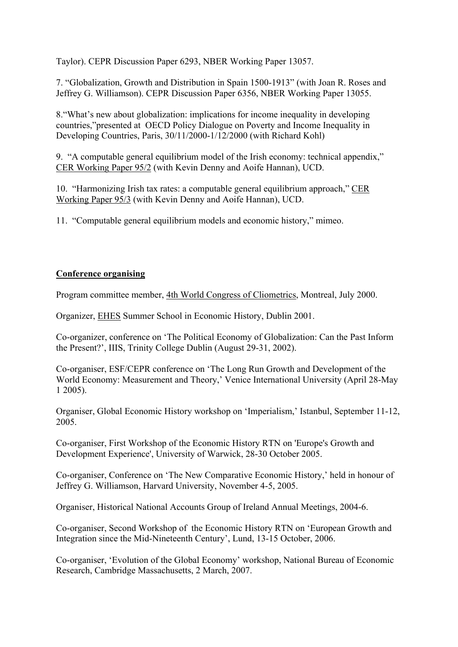Taylor). CEPR Discussion Paper 6293, NBER Working Paper 13057.

7. "Globalization, Growth and Distribution in Spain 1500-1913" (with Joan R. Roses and Jeffrey G. Williamson). CEPR Discussion Paper 6356, NBER Working Paper 13055.

8."What's new about globalization: implications for income inequality in developing countries,"presented at OECD Policy Dialogue on Poverty and Income Inequality in Developing Countries, Paris, 30/11/2000-1/12/2000 (with Richard Kohl)

 CER Working Paper 95/2 (with Kevin Denny and Aoife Hannan), UCD. 9. "A computable general equilibrium model of the Irish economy: technical appendix,"

10. "Harmonizing Irish tax rates: a computable general equilibrium approach," CER Working Paper 95/3 (with Kevin Denny and Aoife Hannan), UCD.

11. "Computable general equilibrium models and economic history," mimeo.

# **Conference organising**

Program committee member, 4th World Congress of Cliometrics, Montreal, July 2000.

Organizer, EHES Summer School in Economic History, Dublin 2001.

Co-organizer, conference on 'The Political Economy of Globalization: Can the Past Inform the Present?', IIIS, Trinity College Dublin (August 29-31, 2002).

Co-organiser, ESF/CEPR conference on 'The Long Run Growth and Development of the World Economy: Measurement and Theory,' Venice International University (April 28-May 1 2005).

Organiser, Global Economic History workshop on 'Imperialism,' Istanbul, September 11-12, 2005.

Co-organiser, First Workshop of the Economic History RTN on 'Europe's Growth and Development Experience', University of Warwick, 28-30 October 2005.

Co-organiser, Conference on 'The New Comparative Economic History,' held in honour of Jeffrey G. Williamson, Harvard University, November 4-5, 2005.

Organiser, Historical National Accounts Group of Ireland Annual Meetings, 2004-6.

Co-organiser, Second Workshop of the Economic History RTN on 'European Growth and Integration since the Mid-Nineteenth Century', Lund, 13-15 October, 2006.

Co-organiser, 'Evolution of the Global Economy' workshop, National Bureau of Economic Research, Cambridge Massachusetts, 2 March, 2007.